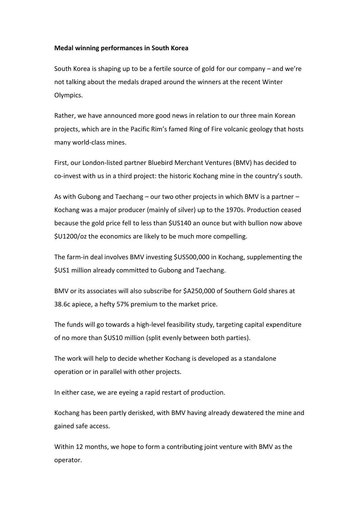## **Medal winning performances in South Korea**

South Korea is shaping up to be a fertile source of gold for our company – and we're not talking about the medals draped around the winners at the recent Winter Olympics.

Rather, we have announced more good news in relation to our three main Korean projects, which are in the Pacific Rim's famed Ring of Fire volcanic geology that hosts many world-class mines.

First, our London-listed partner Bluebird Merchant Ventures (BMV) has decided to co-invest with us in a third project: the historic Kochang mine in the country's south.

As with Gubong and Taechang – our two other projects in which BMV is a partner – Kochang was a major producer (mainly of silver) up to the 1970s. Production ceased because the gold price fell to less than \$US140 an ounce but with bullion now above \$U1200/oz the economics are likely to be much more compelling.

The farm-in deal involves BMV investing \$US500,000 in Kochang, supplementing the \$US1 million already committed to Gubong and Taechang.

BMV or its associates will also subscribe for \$A250,000 of Southern Gold shares at 38.6c apiece, a hefty 57% premium to the market price.

The funds will go towards a high-level feasibility study, targeting capital expenditure of no more than \$US10 million (split evenly between both parties).

The work will help to decide whether Kochang is developed as a standalone operation or in parallel with other projects.

In either case, we are eyeing a rapid restart of production.

Kochang has been partly derisked, with BMV having already dewatered the mine and gained safe access.

Within 12 months, we hope to form a contributing joint venture with BMV as the operator.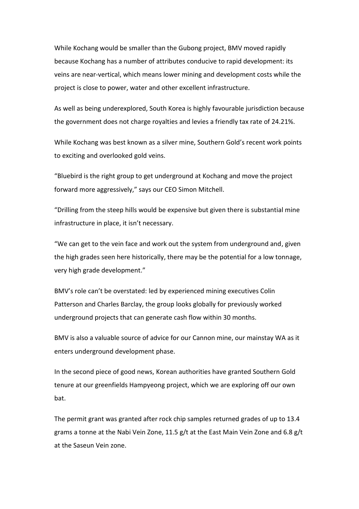While Kochang would be smaller than the Gubong project, BMV moved rapidly because Kochang has a number of attributes conducive to rapid development: its veins are near-vertical, which means lower mining and development costs while the project is close to power, water and other excellent infrastructure.

As well as being underexplored, South Korea is highly favourable jurisdiction because the government does not charge royalties and levies a friendly tax rate of 24.21%.

While Kochang was best known as a silver mine, Southern Gold's recent work points to exciting and overlooked gold veins.

"Bluebird is the right group to get underground at Kochang and move the project forward more aggressively," says our CEO Simon Mitchell.

"Drilling from the steep hills would be expensive but given there is substantial mine infrastructure in place, it isn't necessary.

"We can get to the vein face and work out the system from underground and, given the high grades seen here historically, there may be the potential for a low tonnage, very high grade development."

BMV's role can't be overstated: led by experienced mining executives Colin Patterson and Charles Barclay, the group looks globally for previously worked underground projects that can generate cash flow within 30 months.

BMV is also a valuable source of advice for our Cannon mine, our mainstay WA as it enters underground development phase.

In the second piece of good news, Korean authorities have granted Southern Gold tenure at our greenfields Hampyeong project, which we are exploring off our own bat.

The permit grant was granted after rock chip samples returned grades of up to 13.4 grams a tonne at the Nabi Vein Zone, 11.5 g/t at the East Main Vein Zone and 6.8 g/t at the Saseun Vein zone.